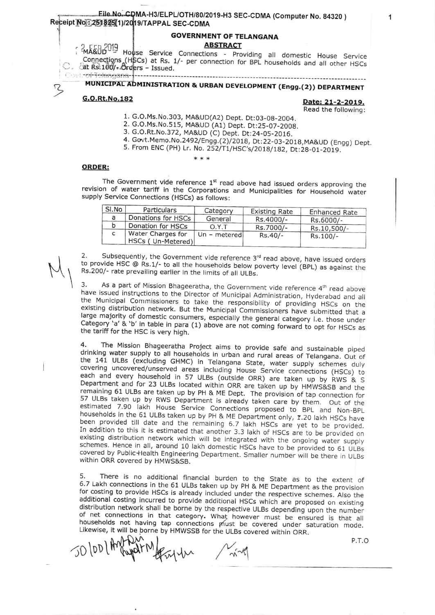Eile No. CDMA-H3/ELPL/OTH/80/2019-H3 SEC-CDMA (Computer No. 84320) Receipt No.: 251825(1)/2019/TAPPAL SEC-CDMA

#### **GOVERNMENT OF TELANGANA ABSTRACT**

**MA&OD** 019 House Service Connections - Providing all domestic House Service Connections (HSCs) at Rs. 1/- per connection for BPL households and all other HSCs  $\circ$ .  $\circ$  at Rs. 100/- Orders - Issued. Covt.-of-Telangana----------------

MUNICIPAL ADMINISTRATION & URBAN DEVELOPMENT (Engg.(2)) DEPARTMENT

#### G.O.Rt.No.182

72

Date: 21-2-2019. Read the following:

- 1. G.O.Ms.No.303, MA&UD(A2) Dept. Dt:03-08-2004.
- 2. G.O.Ms.No.515, MA&UD (A1) Dept. Dt:25-07-2008.
- 3. G.O.Rt.No.372, MA&UD (C) Dept. Dt:24-05-2016.
- 4. Govt.Memo.No.2492/Engg.(2)/2018, Dt:22-03-2018, MA&UD (Engg) Dept.

---------------------------

5. From ENC (PH) Lr. No. 252/T1/HSC's/2018/182, Dt:28-01-2019.

## **ORDER:**

The Government vide reference 1st read above had issued orders approving the revision of water tariff in the Corporations and Municipalities for Household water supply Service Connections (HSCs) as follows:

| SI.No | Particulars                                   | Category     | <b>Existing Rate</b> | <b>Enhanced Rate</b> |
|-------|-----------------------------------------------|--------------|----------------------|----------------------|
|       | Donations for HSCs                            | General      | Rs.4000/-            | Rs.6000/-            |
|       | Donation for HSCs                             | O.Y.T        | Rs.7000/-            | Rs.10,500/-          |
|       | <b>Water Charges for</b><br>HSCs (Un-Metered) | Un - metered | $Rs.40/-$            | Rs.100/-             |

Subsequently, the Government vide reference 3rd read above, have issued orders 2. to provide HSC @ Rs.1/- to all the households below poverty level (BPL) as against the Rs.200/- rate prevailing earlier in the limits of all ULBs.

As a part of Mission Bhageeratha, the Government vide reference 4th read above 3. have issued instructions to the Director of Municipal Administration, Hyderabad and all the Municipal Commissioners to take the responsibility of providing HSCs on the existing distribution network. But the Municipal Commissioners have submitted that a large majority of domestic consumers, especially the general category i.e. those under Category 'a' & 'b' in table in para (1) above are not coming forward to opt for HSCs as the tariff for the HSC is very high.

The Mission Bhageeratha Project aims to provide safe and sustainable piped 4. drinking water supply to all households in urban and rural areas of Telangana. Out of the 141 ULBs (excluding GHMC) in Telangana State, water supply schemes duly covering uncovered/unserved areas including House Service connections (HSCs) to each and every household in 57 ULBs (outside ORR) are taken up by RWS & S Department and for 23 ULBs located within ORR are taken up by HMWS&SB and the remaining 61 ULBs are taken up by PH & ME Dept. The provision of tap connection for 57 ULBs taken up by RWS Department is already taken care by them. Out of the estimated 7.90 lakh House Service Connections proposed to BPL and Non-BPL households in the 61 ULBs taken up by PH & ME Department only, 1.20 lakh HSCs have been provided till date and the remaining 6.7 lakh HSCs are yet to be provided. In addition to this it is estimated that another 3.3 lakh of HSCs are to be provided on existing distribution network which will be integrated with the ongoing water supply schemes. Hence in all, around 10 lakh domestic HSCs have to be provided to 61 ULBs covered by Public+lealth Engineering Department. Smaller number will be there in ULBs within ORR covered by HMWS&SB.

5. There is no additional financial burden to the State as to the extent of 6.7 Lakh connections in the 61 ULBs taken up by PH & ME Department as the provision for costing to provide HSCs is already included under the respective schemes. Also the additional costing incurred to provide additional HSCs which are proposed on existing distribution network shall be borne by the respective ULBs depending upon the number of net connections in that category. What however must be ensured is that all households not having tap connections must be covered under saturation mode. Likewise, it will be borne by HMWSSB for the ULBs covered within ORR.

50 look Angel March

P.T.O